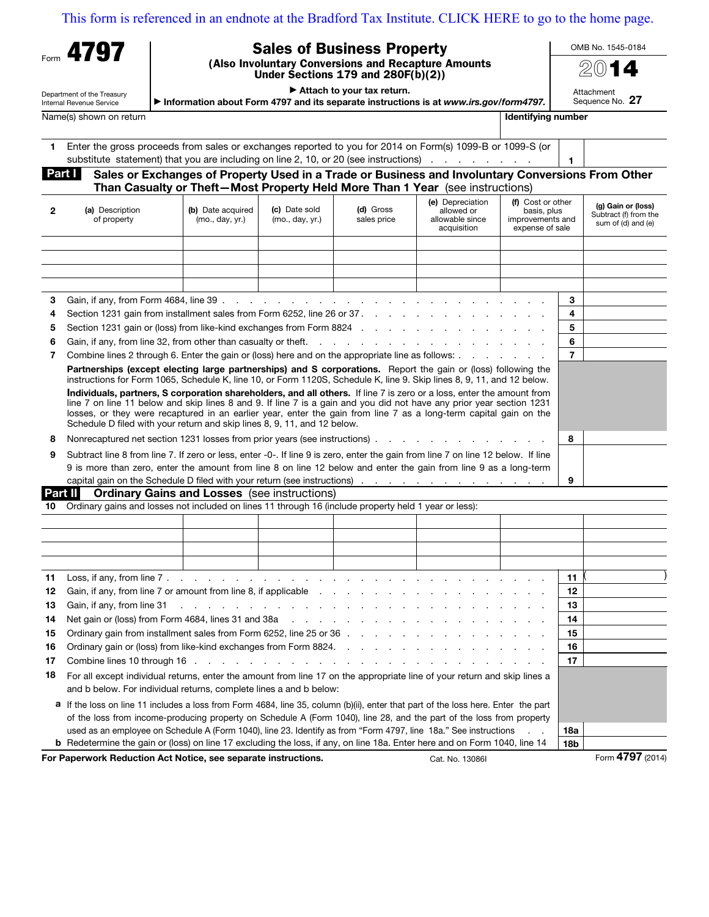## [This form is referenced in an endnote at the Bradford Tax Institute. CLICK HERE to go to the home page.](bradfordtaxinstitute.com)

| Form | 4797 |  |
|------|------|--|
|      |      |  |

## Sales of Business Property

(Also Involuntary Conversions and Recapture Amounts Under Sections 179 and 280F(b)(2))

 $\blacktriangleright$  Attach to your tax return. Information about Form 4797 and its separate instructions is at www.irs.gov/form4797. OMB No. 1545-0184

2014 Attachment

Sequence No. 27

Name(s) shown on return **Identifying number** Internal and the state of the state of the state of the state of the state of the state of the state of the state of the state of the state of the state of the state of the stat

Department of the Treasury Internal Revenue Service

| Enter the gross proceeds from sales or exchanges reported to you for 2014 on Form(s) 1099-B or 1099-S (or |  |
|-----------------------------------------------------------------------------------------------------------|--|
| substitute statement) that you are including on line 2, 10, or 20 (see instructions)                      |  |

## Part | Sales or Exchanges of Property Used in a Trade or Business and Involuntary Conversions From Other Than Casualty or Theft—Most Property Held More Than 1 Year (see instructions)

| $\mathbf{2}$ | (a) Description<br>of property                                                                                                                                                                                                                                                                                                                                                                                                                 | (b) Date acquired<br>(mo., day, yr.) | (c) Date sold<br>(mo., day, yr.) | (d) Gross<br>sales price                                                                                                                                                                                                      | (e) Depreciation<br>allowed or<br>allowable since<br>acquisition | (f) Cost or other<br>basis, plus<br>improvements and<br>expense of sale |    | (g) Gain or (loss)<br>Subtract (f) from the<br>sum of (d) and (e) |
|--------------|------------------------------------------------------------------------------------------------------------------------------------------------------------------------------------------------------------------------------------------------------------------------------------------------------------------------------------------------------------------------------------------------------------------------------------------------|--------------------------------------|----------------------------------|-------------------------------------------------------------------------------------------------------------------------------------------------------------------------------------------------------------------------------|------------------------------------------------------------------|-------------------------------------------------------------------------|----|-------------------------------------------------------------------|
|              |                                                                                                                                                                                                                                                                                                                                                                                                                                                |                                      |                                  |                                                                                                                                                                                                                               |                                                                  |                                                                         |    |                                                                   |
|              |                                                                                                                                                                                                                                                                                                                                                                                                                                                |                                      |                                  |                                                                                                                                                                                                                               |                                                                  |                                                                         |    |                                                                   |
|              |                                                                                                                                                                                                                                                                                                                                                                                                                                                |                                      |                                  |                                                                                                                                                                                                                               |                                                                  |                                                                         |    |                                                                   |
|              |                                                                                                                                                                                                                                                                                                                                                                                                                                                |                                      |                                  |                                                                                                                                                                                                                               |                                                                  |                                                                         |    |                                                                   |
| 3            |                                                                                                                                                                                                                                                                                                                                                                                                                                                |                                      |                                  |                                                                                                                                                                                                                               |                                                                  |                                                                         | 3  |                                                                   |
| 4            |                                                                                                                                                                                                                                                                                                                                                                                                                                                |                                      |                                  |                                                                                                                                                                                                                               |                                                                  |                                                                         | 4  |                                                                   |
| 5            |                                                                                                                                                                                                                                                                                                                                                                                                                                                |                                      |                                  |                                                                                                                                                                                                                               |                                                                  |                                                                         | 5  |                                                                   |
| 6            |                                                                                                                                                                                                                                                                                                                                                                                                                                                |                                      |                                  |                                                                                                                                                                                                                               |                                                                  |                                                                         | 6  |                                                                   |
| 7            | Combine lines 2 through 6. Enter the gain or (loss) here and on the appropriate line as follows:                                                                                                                                                                                                                                                                                                                                               |                                      |                                  |                                                                                                                                                                                                                               |                                                                  |                                                                         | 7  |                                                                   |
|              | Partnerships (except electing large partnerships) and S corporations. Report the gain or (loss) following the<br>instructions for Form 1065, Schedule K, line 10, or Form 1120S, Schedule K, line 9. Skip lines 8, 9, 11, and 12 below.                                                                                                                                                                                                        |                                      |                                  |                                                                                                                                                                                                                               |                                                                  |                                                                         |    |                                                                   |
|              | Individuals, partners, S corporation shareholders, and all others. If line 7 is zero or a loss, enter the amount from<br>line 7 on line 11 below and skip lines 8 and 9. If line 7 is a gain and you did not have any prior year section 1231<br>losses, or they were recaptured in an earlier year, enter the gain from line 7 as a long-term capital gain on the<br>Schedule D filed with your return and skip lines 8, 9, 11, and 12 below. |                                      |                                  |                                                                                                                                                                                                                               |                                                                  |                                                                         |    |                                                                   |
| 8            | Nonrecaptured net section 1231 losses from prior years (see instructions). The contract of the contract of the                                                                                                                                                                                                                                                                                                                                 |                                      |                                  |                                                                                                                                                                                                                               |                                                                  |                                                                         | 8  |                                                                   |
| 9            | Subtract line 8 from line 7. If zero or less, enter -0-. If line 9 is zero, enter the gain from line 7 on line 12 below. If line                                                                                                                                                                                                                                                                                                               |                                      |                                  |                                                                                                                                                                                                                               |                                                                  |                                                                         |    |                                                                   |
|              | 9 is more than zero, enter the amount from line 8 on line 12 below and enter the gain from line 9 as a long-term                                                                                                                                                                                                                                                                                                                               |                                      |                                  |                                                                                                                                                                                                                               |                                                                  |                                                                         |    |                                                                   |
|              |                                                                                                                                                                                                                                                                                                                                                                                                                                                |                                      |                                  |                                                                                                                                                                                                                               |                                                                  |                                                                         | 9  |                                                                   |
|              | Part II<br><b>Ordinary Gains and Losses</b> (see instructions)                                                                                                                                                                                                                                                                                                                                                                                 |                                      |                                  |                                                                                                                                                                                                                               |                                                                  |                                                                         |    |                                                                   |
| 10           | Ordinary gains and losses not included on lines 11 through 16 (include property held 1 year or less):                                                                                                                                                                                                                                                                                                                                          |                                      |                                  |                                                                                                                                                                                                                               |                                                                  |                                                                         |    |                                                                   |
|              |                                                                                                                                                                                                                                                                                                                                                                                                                                                |                                      |                                  |                                                                                                                                                                                                                               |                                                                  |                                                                         |    |                                                                   |
|              |                                                                                                                                                                                                                                                                                                                                                                                                                                                |                                      |                                  |                                                                                                                                                                                                                               |                                                                  |                                                                         |    |                                                                   |
|              |                                                                                                                                                                                                                                                                                                                                                                                                                                                |                                      |                                  |                                                                                                                                                                                                                               |                                                                  |                                                                         |    |                                                                   |
|              |                                                                                                                                                                                                                                                                                                                                                                                                                                                |                                      |                                  |                                                                                                                                                                                                                               |                                                                  |                                                                         |    |                                                                   |
| 11           |                                                                                                                                                                                                                                                                                                                                                                                                                                                |                                      |                                  |                                                                                                                                                                                                                               |                                                                  |                                                                         | 11 |                                                                   |
| 12           |                                                                                                                                                                                                                                                                                                                                                                                                                                                |                                      |                                  |                                                                                                                                                                                                                               |                                                                  |                                                                         | 12 |                                                                   |
| 13           | Gain, if any, from line 31                                                                                                                                                                                                                                                                                                                                                                                                                     |                                      |                                  | a construction of the construction of the construction of the construction of the construction of the construction of the construction of the construction of the construction of the construction of the construction of the |                                                                  |                                                                         | 13 |                                                                   |
| 14           | Net gain or (loss) from Form 4684, lines 31 and 38a entitled as a set of the set of the set of the set of the S                                                                                                                                                                                                                                                                                                                                |                                      |                                  |                                                                                                                                                                                                                               |                                                                  |                                                                         | 14 |                                                                   |
| 15           | Ordinary gain from installment sales from Form 6252, line 25 or 36 [11] Contact Product Array can be contacted by Ordinary gain from installment sales from Form 6252, line 25 or 36 [11] Array can be contacted by Contacted                                                                                                                                                                                                                  |                                      |                                  |                                                                                                                                                                                                                               |                                                                  |                                                                         | 15 |                                                                   |
| 16           | Ordinary gain or (loss) from like-kind exchanges from Form 8824.                                                                                                                                                                                                                                                                                                                                                                               |                                      |                                  |                                                                                                                                                                                                                               |                                                                  |                                                                         | 16 |                                                                   |
| 17           | Combine lines 10 through 16                                                                                                                                                                                                                                                                                                                                                                                                                    |                                      |                                  | the contract of the contract of the contract of the contract of the contract of the contract of the contract of                                                                                                               |                                                                  |                                                                         | 17 |                                                                   |
| 18           | For all except individual returns, enter the amount from line 17 on the appropriate line of your return and skip lines a<br>and b below. For individual returns, complete lines a and b below:                                                                                                                                                                                                                                                 |                                      |                                  |                                                                                                                                                                                                                               |                                                                  |                                                                         |    |                                                                   |

| a If the loss on line 11 includes a loss from Form 4684, line 35, column (b)(ii), enter that part of the loss here. Enter the part |                 |
|------------------------------------------------------------------------------------------------------------------------------------|-----------------|
| of the loss from income-producing property on Schedule A (Form 1040), line 28, and the part of the loss from property              |                 |
| used as an employee on Schedule A (Form 1040), line 23. Identify as from "Form 4797, line 18a." See instructions                   | 18a             |
| <b>b</b> Redetermine the gain or (loss) on line 17 excluding the loss, if any, on line 18a. Enter here and on Form 1040, line 14   | 18 <sub>b</sub> |

For Paperwork Reduction Act Notice, see separate instructions. Cat. No. 13086I Form 4797 (2014)